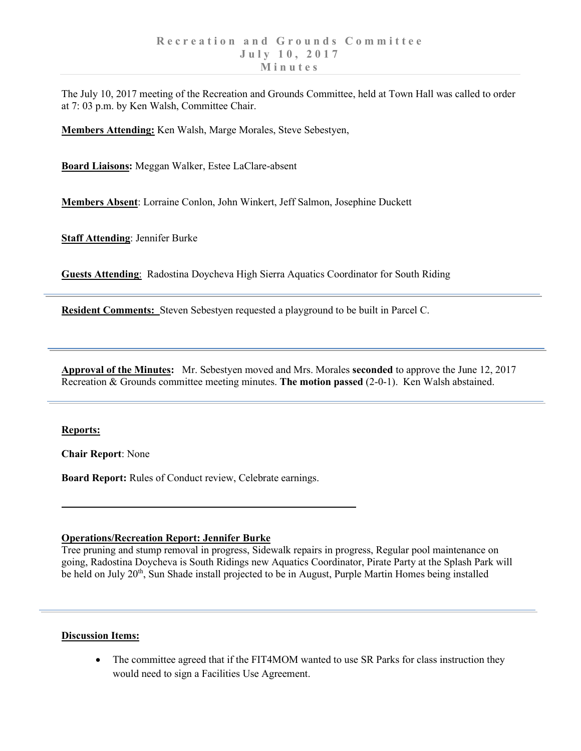The July 10, 2017 meeting of the Recreation and Grounds Committee, held at Town Hall was called to order at 7: 03 p.m. by Ken Walsh, Committee Chair.

**Members Attending:** Ken Walsh, Marge Morales, Steve Sebestyen,

**Board Liaisons:** Meggan Walker, Estee LaClare-absent

**Members Absent**: Lorraine Conlon, John Winkert, Jeff Salmon, Josephine Duckett

**Staff Attending**: Jennifer Burke

**Guests Attending**: Radostina Doycheva High Sierra Aquatics Coordinator for South Riding

**Resident Comments:** Steven Sebestyen requested a playground to be built in Parcel C.

**Approval of the Minutes:** Mr. Sebestyen moved and Mrs. Morales **seconded** to approve the June 12, 2017 Recreation & Grounds committee meeting minutes. **The motion passed** (2-0-1). Ken Walsh abstained.

## **Reports:**

**Chair Report**: None

**Board Report:** Rules of Conduct review, Celebrate earnings.

## **Operations/Recreation Report: Jennifer Burke**

Tree pruning and stump removal in progress, Sidewalk repairs in progress, Regular pool maintenance on going, Radostina Doycheva is South Ridings new Aquatics Coordinator, Pirate Party at the Splash Park will be held on July 20<sup>th</sup>, Sun Shade install projected to be in August, Purple Martin Homes being installed

## **Discussion Items:**

• The committee agreed that if the FIT4MOM wanted to use SR Parks for class instruction they would need to sign a Facilities Use Agreement.